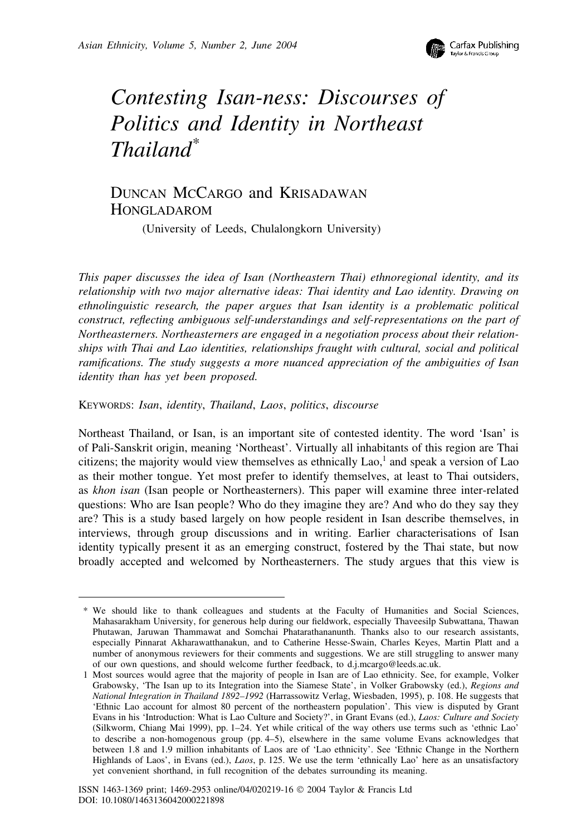

# *Contesting Isan-ness: Discourses of Politics and Identity in Northeast Thailand\**

# DUNCAN MCCARGO and KRISADAWAN HONGLADAROM

(University of Leeds, Chulalongkorn University)

*This paper discusses the idea of Isan (Northeastern Thai) ethnoregional identity, and its relationship with two major alternative ideas: Thai identity and Lao identity. Drawing on ethnolinguistic research, the paper argues that Isan identity is a problematic political construct, reflecting ambiguous self-understandings and self-representations on the part of Northeasterners. Northeasterners are engaged in a negotiation process about their relationships with Thai and Lao identities, relationships fraught with cultural, social and political ramifications. The study suggests a more nuanced appreciation of the ambiguities of Isan identity than has yet been proposed.*

KEYWORDS: *Isan*, *identity*, *Thailand*, *Laos*, *politics*, *discourse*

Northeast Thailand, or Isan, is an important site of contested identity. The word 'Isan' is of Pali-Sanskrit origin, meaning 'Northeast'. Virtually all inhabitants of this region are Thai citizens; the majority would view themselves as ethnically  $Lao$ ,<sup>1</sup> and speak a version of Lao as their mother tongue. Yet most prefer to identify themselves, at least to Thai outsiders, as *khon isan* (Isan people or Northeasterners). This paper will examine three inter-related questions: Who are Isan people? Who do they imagine they are? And who do they say they are? This is a study based largely on how people resident in Isan describe themselves, in interviews, through group discussions and in writing. Earlier characterisations of Isan identity typically present it as an emerging construct, fostered by the Thai state, but now broadly accepted and welcomed by Northeasterners. The study argues that this view is

<sup>\*</sup> We should like to thank colleagues and students at the Faculty of Humanities and Social Sciences, Mahasarakham University, for generous help during our fieldwork, especially Thaveesilp Subwattana, Thawan Phutawan, Jaruwan Thammawat and Somchai Phatarathananunth. Thanks also to our research assistants, especially Pinnarat Akharawatthanakun, and to Catherine Hesse-Swain, Charles Keyes, Martin Platt and a number of anonymous reviewers for their comments and suggestions. We are still struggling to answer many of our own questions, and should welcome further feedback, to d.j.mcargo@leeds.ac.uk.

<sup>1</sup> Most sources would agree that the majority of people in Isan are of Lao ethnicity. See, for example, Volker Grabowsky, 'The Isan up to its Integration into the Siamese State', in Volker Grabowsky (ed.), *Regions and National Integration in Thailand 1892–1992* (Harrassowitz Verlag, Wiesbaden, 1995), p. 108. He suggests that 'Ethnic Lao account for almost 80 percent of the northeastern population'. This view is disputed by Grant Evans in his 'Introduction: What is Lao Culture and Society?', in Grant Evans (ed.), *Laos: Culture and Society* (Silkworm, Chiang Mai 1999), pp. 1–24. Yet while critical of the way others use terms such as 'ethnic Lao' to describe a non-homogenous group (pp. 4–5), elsewhere in the same volume Evans acknowledges that between 1.8 and 1.9 million inhabitants of Laos are of 'Lao ethnicity'. See 'Ethnic Change in the Northern Highlands of Laos', in Evans (ed.), *Laos*, p. 125. We use the term 'ethnically Lao' here as an unsatisfactory yet convenient shorthand, in full recognition of the debates surrounding its meaning.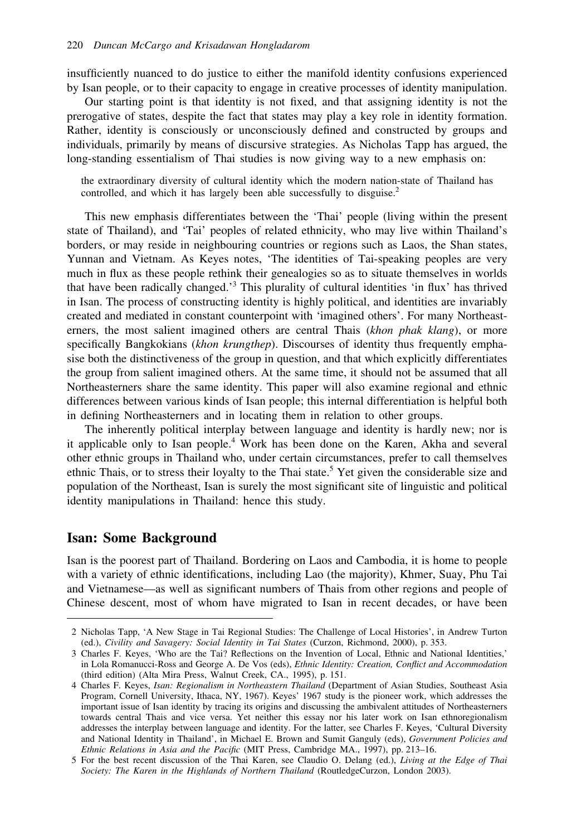insufficiently nuanced to do justice to either the manifold identity confusions experienced by Isan people, or to their capacity to engage in creative processes of identity manipulation.

Our starting point is that identity is not fixed, and that assigning identity is not the prerogative of states, despite the fact that states may play a key role in identity formation. Rather, identity is consciously or unconsciously defined and constructed by groups and individuals, primarily by means of discursive strategies. As Nicholas Tapp has argued, the long-standing essentialism of Thai studies is now giving way to a new emphasis on:

the extraordinary diversity of cultural identity which the modern nation-state of Thailand has controlled, and which it has largely been able successfully to disguise.<sup>2</sup>

This new emphasis differentiates between the 'Thai' people (living within the present state of Thailand), and 'Tai' peoples of related ethnicity, who may live within Thailand's borders, or may reside in neighbouring countries or regions such as Laos, the Shan states, Yunnan and Vietnam. As Keyes notes, 'The identities of Tai-speaking peoples are very much in flux as these people rethink their genealogies so as to situate themselves in worlds that have been radically changed.'<sup>3</sup> This plurality of cultural identities 'in flux' has thrived in Isan. The process of constructing identity is highly political, and identities are invariably created and mediated in constant counterpoint with 'imagined others'. For many Northeasterners, the most salient imagined others are central Thais (*khon phak klang*), or more specifically Bangkokians (*khon krungthep*). Discourses of identity thus frequently emphasise both the distinctiveness of the group in question, and that which explicitly differentiates the group from salient imagined others. At the same time, it should not be assumed that all Northeasterners share the same identity. This paper will also examine regional and ethnic differences between various kinds of Isan people; this internal differentiation is helpful both in defining Northeasterners and in locating them in relation to other groups.

The inherently political interplay between language and identity is hardly new; nor is it applicable only to Isan people.<sup>4</sup> Work has been done on the Karen, Akha and several other ethnic groups in Thailand who, under certain circumstances, prefer to call themselves ethnic Thais, or to stress their loyalty to the Thai state.<sup>5</sup> Yet given the considerable size and population of the Northeast, Isan is surely the most significant site of linguistic and political identity manipulations in Thailand: hence this study.

#### **Isan: Some Background**

Isan is the poorest part of Thailand. Bordering on Laos and Cambodia, it is home to people with a variety of ethnic identifications, including Lao (the majority), Khmer, Suay, Phu Tai and Vietnamese—as well as significant numbers of Thais from other regions and people of Chinese descent, most of whom have migrated to Isan in recent decades, or have been

<sup>2</sup> Nicholas Tapp, 'A New Stage in Tai Regional Studies: The Challenge of Local Histories', in Andrew Turton (ed.), *Civility and Savagery: Social Identity in Tai States* (Curzon, Richmond, 2000), p. 353.

<sup>3</sup> Charles F. Keyes, 'Who are the Tai? Reflections on the Invention of Local, Ethnic and National Identities,' in Lola Romanucci-Ross and George A. De Vos (eds), *Ethnic Identity: Creation, Conflict and Accommodation* (third edition) (Alta Mira Press, Walnut Creek, CA., 1995), p. 151.

<sup>4</sup> Charles F. Keyes, *Isan: Regionalism in Northeastern Thailand* (Department of Asian Studies, Southeast Asia Program, Cornell University, Ithaca, NY, 1967). Keyes' 1967 study is the pioneer work, which addresses the important issue of Isan identity by tracing its origins and discussing the ambivalent attitudes of Northeasterners towards central Thais and vice versa. Yet neither this essay nor his later work on Isan ethnoregionalism addresses the interplay between language and identity. For the latter, see Charles F. Keyes, 'Cultural Diversity and National Identity in Thailand', in Michael E. Brown and Sumit Ganguly (eds), *Government Policies and Ethnic Relations in Asia and the Pacific* (MIT Press, Cambridge MA., 1997), pp. 213–16.

<sup>5</sup> For the best recent discussion of the Thai Karen, see Claudio O. Delang (ed.), *Living at the Edge of Thai Society: The Karen in the Highlands of Northern Thailand* (RoutledgeCurzon, London 2003).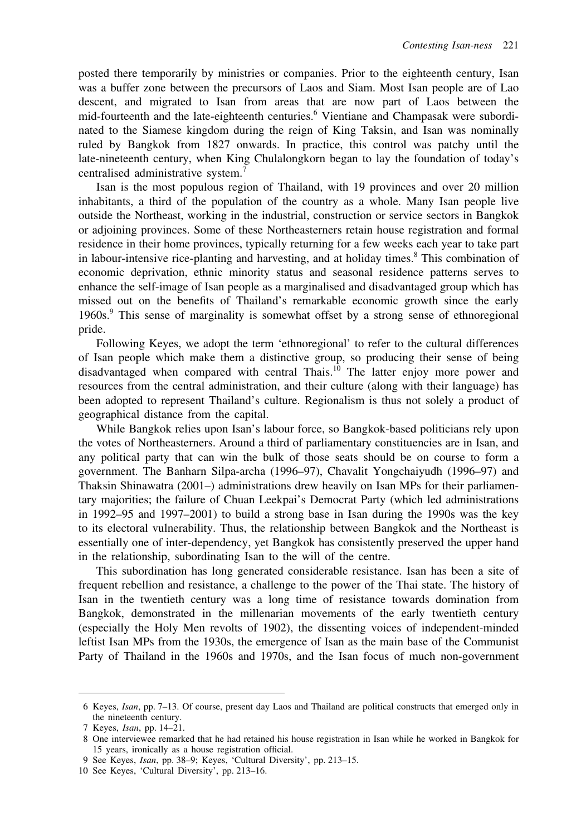posted there temporarily by ministries or companies. Prior to the eighteenth century, Isan was a buffer zone between the precursors of Laos and Siam. Most Isan people are of Lao descent, and migrated to Isan from areas that are now part of Laos between the mid-fourteenth and the late-eighteenth centuries.<sup>6</sup> Vientiane and Champasak were subordinated to the Siamese kingdom during the reign of King Taksin, and Isan was nominally ruled by Bangkok from 1827 onwards. In practice, this control was patchy until the late-nineteenth century, when King Chulalongkorn began to lay the foundation of today's centralised administrative system.<sup>7</sup>

Isan is the most populous region of Thailand, with 19 provinces and over 20 million inhabitants, a third of the population of the country as a whole. Many Isan people live outside the Northeast, working in the industrial, construction or service sectors in Bangkok or adjoining provinces. Some of these Northeasterners retain house registration and formal residence in their home provinces, typically returning for a few weeks each year to take part in labour-intensive rice-planting and harvesting, and at holiday times. $8$  This combination of economic deprivation, ethnic minority status and seasonal residence patterns serves to enhance the self-image of Isan people as a marginalised and disadvantaged group which has missed out on the benefits of Thailand's remarkable economic growth since the early 1960s.9 This sense of marginality is somewhat offset by a strong sense of ethnoregional pride.

Following Keyes, we adopt the term 'ethnoregional' to refer to the cultural differences of Isan people which make them a distinctive group, so producing their sense of being disadvantaged when compared with central Thais.<sup>10</sup> The latter enjoy more power and resources from the central administration, and their culture (along with their language) has been adopted to represent Thailand's culture. Regionalism is thus not solely a product of geographical distance from the capital.

While Bangkok relies upon Isan's labour force, so Bangkok-based politicians rely upon the votes of Northeasterners. Around a third of parliamentary constituencies are in Isan, and any political party that can win the bulk of those seats should be on course to form a government. The Banharn Silpa-archa (1996–97), Chavalit Yongchaiyudh (1996–97) and Thaksin Shinawatra (2001–) administrations drew heavily on Isan MPs for their parliamentary majorities; the failure of Chuan Leekpai's Democrat Party (which led administrations in 1992–95 and 1997–2001) to build a strong base in Isan during the 1990s was the key to its electoral vulnerability. Thus, the relationship between Bangkok and the Northeast is essentially one of inter-dependency, yet Bangkok has consistently preserved the upper hand in the relationship, subordinating Isan to the will of the centre.

This subordination has long generated considerable resistance. Isan has been a site of frequent rebellion and resistance, a challenge to the power of the Thai state. The history of Isan in the twentieth century was a long time of resistance towards domination from Bangkok, demonstrated in the millenarian movements of the early twentieth century (especially the Holy Men revolts of 1902), the dissenting voices of independent-minded leftist Isan MPs from the 1930s, the emergence of Isan as the main base of the Communist Party of Thailand in the 1960s and 1970s, and the Isan focus of much non-government

<sup>6</sup> Keyes, *Isan*, pp. 7–13. Of course, present day Laos and Thailand are political constructs that emerged only in the nineteenth century.

<sup>7</sup> Keyes, *Isan*, pp. 14–21.

<sup>8</sup> One interviewee remarked that he had retained his house registration in Isan while he worked in Bangkok for 15 years, ironically as a house registration official.

<sup>9</sup> See Keyes, *Isan*, pp. 38–9; Keyes, 'Cultural Diversity', pp. 213–15.

<sup>10</sup> See Keyes, 'Cultural Diversity', pp. 213–16.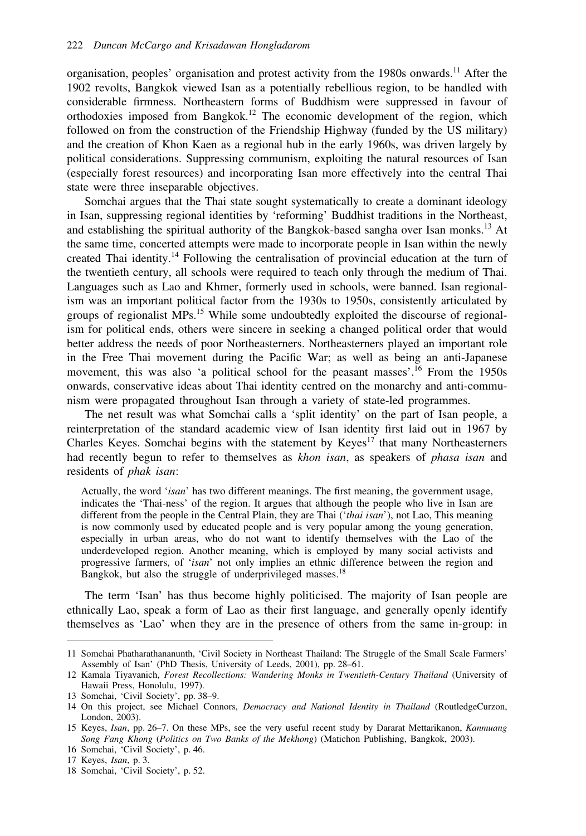organisation, peoples' organisation and protest activity from the 1980s onwards.<sup>11</sup> After the 1902 revolts, Bangkok viewed Isan as a potentially rebellious region, to be handled with considerable firmness. Northeastern forms of Buddhism were suppressed in favour of orthodoxies imposed from Bangkok.12 The economic development of the region, which followed on from the construction of the Friendship Highway (funded by the US military) and the creation of Khon Kaen as a regional hub in the early 1960s, was driven largely by political considerations. Suppressing communism, exploiting the natural resources of Isan (especially forest resources) and incorporating Isan more effectively into the central Thai state were three inseparable objectives.

Somchai argues that the Thai state sought systematically to create a dominant ideology in Isan, suppressing regional identities by 'reforming' Buddhist traditions in the Northeast, and establishing the spiritual authority of the Bangkok-based sangha over Isan monks.<sup>13</sup> At the same time, concerted attempts were made to incorporate people in Isan within the newly created Thai identity.<sup>14</sup> Following the centralisation of provincial education at the turn of the twentieth century, all schools were required to teach only through the medium of Thai. Languages such as Lao and Khmer, formerly used in schools, were banned. Isan regionalism was an important political factor from the 1930s to 1950s, consistently articulated by groups of regionalist MPs.<sup>15</sup> While some undoubtedly exploited the discourse of regionalism for political ends, others were sincere in seeking a changed political order that would better address the needs of poor Northeasterners. Northeasterners played an important role in the Free Thai movement during the Pacific War; as well as being an anti-Japanese movement, this was also 'a political school for the peasant masses'.<sup>16</sup> From the 1950s onwards, conservative ideas about Thai identity centred on the monarchy and anti-communism were propagated throughout Isan through a variety of state-led programmes.

The net result was what Somchai calls a 'split identity' on the part of Isan people, a reinterpretation of the standard academic view of Isan identity first laid out in 1967 by Charles Keyes. Somchai begins with the statement by Keyes<sup>17</sup> that many Northeasterners had recently begun to refer to themselves as *khon isan*, as speakers of *phasa isan* and residents of *phak isan*:

Actually, the word '*isan*' has two different meanings. The first meaning, the government usage, indicates the 'Thai-ness' of the region. It argues that although the people who live in Isan are different from the people in the Central Plain, they are Thai ('*thai isan*'), not Lao, This meaning is now commonly used by educated people and is very popular among the young generation, especially in urban areas, who do not want to identify themselves with the Lao of the underdeveloped region. Another meaning, which is employed by many social activists and progressive farmers, of '*isan*' not only implies an ethnic difference between the region and Bangkok, but also the struggle of underprivileged masses.<sup>18</sup>

The term 'Isan' has thus become highly politicised. The majority of Isan people are ethnically Lao, speak a form of Lao as their first language, and generally openly identify themselves as 'Lao' when they are in the presence of others from the same in-group: in

<sup>11</sup> Somchai Phatharathananunth, 'Civil Society in Northeast Thailand: The Struggle of the Small Scale Farmers' Assembly of Isan' (PhD Thesis, University of Leeds, 2001), pp. 28–61.

<sup>12</sup> Kamala Tiyavanich, *Forest Recollections: Wandering Monks in Twentieth-Century Thailand* (University of Hawaii Press, Honolulu, 1997).

<sup>13</sup> Somchai, 'Civil Society', pp. 38–9.

<sup>14</sup> On this project, see Michael Connors, *Democracy and National Identity in Thailand* (RoutledgeCurzon, London, 2003).

<sup>15</sup> Keyes, *Isan*, pp. 26–7. On these MPs, see the very useful recent study by Dararat Mettarikanon, *Kanmuang Song Fang Khong* (*Politics on Two Banks of the Mekhong*) (Matichon Publishing, Bangkok, 2003). 16 Somchai, 'Civil Society', p. 46.

<sup>17</sup> Keyes, *Isan*, p. 3.

<sup>18</sup> Somchai, 'Civil Society', p. 52.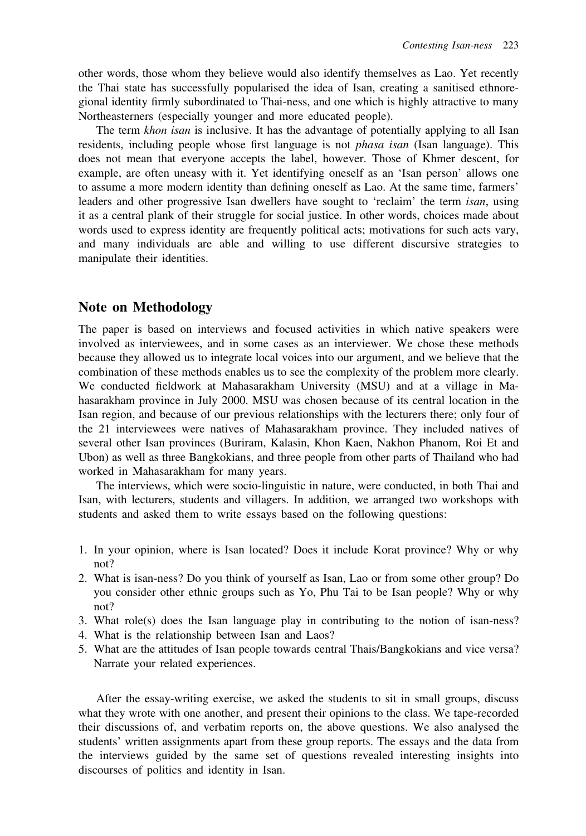other words, those whom they believe would also identify themselves as Lao. Yet recently the Thai state has successfully popularised the idea of Isan, creating a sanitised ethnoregional identity firmly subordinated to Thai-ness, and one which is highly attractive to many Northeasterners (especially younger and more educated people).

The term *khon isan* is inclusive. It has the advantage of potentially applying to all Isan residents, including people whose first language is not *phasa isan* (Isan language). This does not mean that everyone accepts the label, however. Those of Khmer descent, for example, are often uneasy with it. Yet identifying oneself as an 'Isan person' allows one to assume a more modern identity than defining oneself as Lao. At the same time, farmers' leaders and other progressive Isan dwellers have sought to 'reclaim' the term *isan*, using it as a central plank of their struggle for social justice. In other words, choices made about words used to express identity are frequently political acts; motivations for such acts vary, and many individuals are able and willing to use different discursive strategies to manipulate their identities.

# **Note on Methodology**

The paper is based on interviews and focused activities in which native speakers were involved as interviewees, and in some cases as an interviewer. We chose these methods because they allowed us to integrate local voices into our argument, and we believe that the combination of these methods enables us to see the complexity of the problem more clearly. We conducted fieldwork at Mahasarakham University (MSU) and at a village in Mahasarakham province in July 2000. MSU was chosen because of its central location in the Isan region, and because of our previous relationships with the lecturers there; only four of the 21 interviewees were natives of Mahasarakham province. They included natives of several other Isan provinces (Buriram, Kalasin, Khon Kaen, Nakhon Phanom, Roi Et and Ubon) as well as three Bangkokians, and three people from other parts of Thailand who had worked in Mahasarakham for many years.

The interviews, which were socio-linguistic in nature, were conducted, in both Thai and Isan, with lecturers, students and villagers. In addition, we arranged two workshops with students and asked them to write essays based on the following questions:

- 1. In your opinion, where is Isan located? Does it include Korat province? Why or why not?
- 2. What is isan-ness? Do you think of yourself as Isan, Lao or from some other group? Do you consider other ethnic groups such as Yo, Phu Tai to be Isan people? Why or why not?
- 3. What role(s) does the Isan language play in contributing to the notion of isan-ness?
- 4. What is the relationship between Isan and Laos?
- 5. What are the attitudes of Isan people towards central Thais/Bangkokians and vice versa? Narrate your related experiences.

After the essay-writing exercise, we asked the students to sit in small groups, discuss what they wrote with one another, and present their opinions to the class. We tape-recorded their discussions of, and verbatim reports on, the above questions. We also analysed the students' written assignments apart from these group reports. The essays and the data from the interviews guided by the same set of questions revealed interesting insights into discourses of politics and identity in Isan.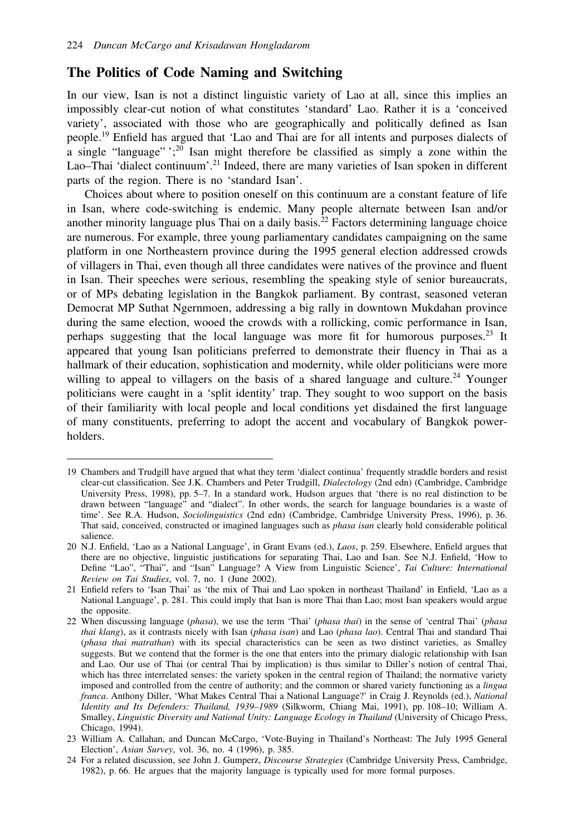# **The Politics of Code Naming and Switching**

In our view, Isan is not a distinct linguistic variety of Lao at all, since this implies an impossibly clear-cut notion of what constitutes 'standard' Lao. Rather it is a 'conceived variety', associated with those who are geographically and politically defined as Isan people.<sup>19</sup> Enfield has argued that 'Lao and Thai are for all intents and purposes dialects of a single "language" ';<sup>20</sup> Isan might therefore be classified as simply a zone within the Lao–Thai 'dialect continuum'.<sup>21</sup> Indeed, there are many varieties of Isan spoken in different parts of the region. There is no 'standard Isan'.

Choices about where to position oneself on this continuum are a constant feature of life in Isan, where code-switching is endemic. Many people alternate between Isan and/or another minority language plus Thai on a daily basis.<sup>22</sup> Factors determining language choice are numerous. For example, three young parliamentary candidates campaigning on the same platform in one Northeastern province during the 1995 general election addressed crowds of villagers in Thai, even though all three candidates were natives of the province and fluent in Isan. Their speeches were serious, resembling the speaking style of senior bureaucrats, or of MPs debating legislation in the Bangkok parliament. By contrast, seasoned veteran Democrat MP Suthat Ngernmoen, addressing a big rally in downtown Mukdahan province during the same election, wooed the crowds with a rollicking, comic performance in Isan, perhaps suggesting that the local language was more fit for humorous purposes.<sup>23</sup> It appeared that young Isan politicians preferred to demonstrate their fluency in Thai as a hallmark of their education, sophistication and modernity, while older politicians were more willing to appeal to villagers on the basis of a shared language and culture.<sup>24</sup> Younger politicians were caught in a 'split identity' trap. They sought to woo support on the basis of their familiarity with local people and local conditions yet disdained the first language of many constituents, preferring to adopt the accent and vocabulary of Bangkok powerholders.

<sup>19</sup> Chambers and Trudgill have argued that what they term 'dialect continua' frequently straddle borders and resist clear-cut classification. See J.K. Chambers and Peter Trudgill, *Dialectology* (2nd edn) (Cambridge, Cambridge University Press, 1998), pp. 5–7. In a standard work, Hudson argues that 'there is no real distinction to be drawn between "language" and "dialect". In other words, the search for language boundaries is a waste of time'. See R.A. Hudson, *Sociolinguistics* (2nd edn) (Cambridge, Cambridge University Press, 1996), p. 36. That said, conceived, constructed or imagined languages such as *phasa isan* clearly hold considerable political salience.

<sup>20</sup> N.J. Enfield, 'Lao as a National Language', in Grant Evans (ed.), *Laos*, p. 259. Elsewhere, Enfield argues that there are no objective, linguistic justifications for separating Thai, Lao and Isan. See N.J. Enfield, 'How to Define "Lao", "Thai", and "Isan" Language? A View from Linguistic Science', *Tai Culture: International Review on Tai Studies*, vol. 7, no. 1 (June 2002).

<sup>21</sup> Enfield refers to 'Isan Thai' as 'the mix of Thai and Lao spoken in northeast Thailand' in Enfield, 'Lao as a National Language', p. 281. This could imply that Isan is more Thai than Lao; most Isan speakers would argue the opposite.

<sup>22</sup> When discussing language (*phasa*), we use the term 'Thai' (*phasa thai*) in the sense of 'central Thai' (*phasa thai klang*), as it contrasts nicely with Isan (*phasa isan*) and Lao (*phasa lao*). Central Thai and standard Thai (*phasa thai matrathan*) with its special characteristics can be seen as two distinct varieties, as Smalley suggests. But we contend that the former is the one that enters into the primary dialogic relationship with Isan and Lao. Our use of Thai (or central Thai by implication) is thus similar to Diller's notion of central Thai, which has three interrelated senses: the variety spoken in the central region of Thailand; the normative variety imposed and controlled from the centre of authority; and the common or shared variety functioning as a *lingua franca*. Anthony Diller, 'What Makes Central Thai a National Language?' in Craig J. Reynolds (ed.), *National Identity and Its Defenders: Thailand, 1939–1989* (Silkworm, Chiang Mai, 1991), pp. 108–10; William A. Smalley, *Linguistic Diversity and National Unity: Language Ecology in Thailand* (University of Chicago Press, Chicago, 1994).

<sup>23</sup> William A. Callahan, and Duncan McCargo, 'Vote-Buying in Thailand's Northeast: The July 1995 General Election', *Asian Survey*, vol. 36, no. 4 (1996), p. 385.

<sup>24</sup> For a related discussion, see John J. Gumperz, *Discourse Strategies* (Cambridge University Press, Cambridge, 1982), p. 66. He argues that the majority language is typically used for more formal purposes.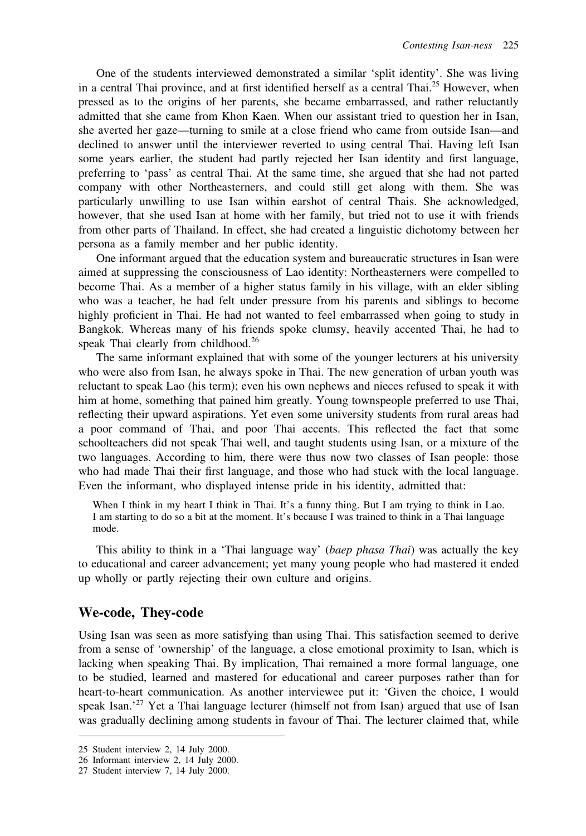One of the students interviewed demonstrated a similar 'split identity'. She was living in a central Thai province, and at first identified herself as a central Thai.<sup>25</sup> However, when pressed as to the origins of her parents, she became embarrassed, and rather reluctantly admitted that she came from Khon Kaen. When our assistant tried to question her in Isan, she averted her gaze—turning to smile at a close friend who came from outside Isan—and declined to answer until the interviewer reverted to using central Thai. Having left Isan some years earlier, the student had partly rejected her Isan identity and first language, preferring to 'pass' as central Thai. At the same time, she argued that she had not parted company with other Northeasterners, and could still get along with them. She was particularly unwilling to use Isan within earshot of central Thais. She acknowledged, however, that she used Isan at home with her family, but tried not to use it with friends from other parts of Thailand. In effect, she had created a linguistic dichotomy between her persona as a family member and her public identity.

One informant argued that the education system and bureaucratic structures in Isan were aimed at suppressing the consciousness of Lao identity: Northeasterners were compelled to become Thai. As a member of a higher status family in his village, with an elder sibling who was a teacher, he had felt under pressure from his parents and siblings to become highly proficient in Thai. He had not wanted to feel embarrassed when going to study in Bangkok. Whereas many of his friends spoke clumsy, heavily accented Thai, he had to speak Thai clearly from childhood.<sup>26</sup>

The same informant explained that with some of the younger lecturers at his university who were also from Isan, he always spoke in Thai. The new generation of urban youth was reluctant to speak Lao (his term); even his own nephews and nieces refused to speak it with him at home, something that pained him greatly. Young townspeople preferred to use Thai, reflecting their upward aspirations. Yet even some university students from rural areas had a poor command of Thai, and poor Thai accents. This reflected the fact that some schoolteachers did not speak Thai well, and taught students using Isan, or a mixture of the two languages. According to him, there were thus now two classes of Isan people: those who had made Thai their first language, and those who had stuck with the local language. Even the informant, who displayed intense pride in his identity, admitted that:

When I think in my heart I think in Thai. It's a funny thing. But I am trying to think in Lao. I am starting to do so a bit at the moment. It's because I was trained to think in a Thai language mode.

This ability to think in a 'Thai language way' (*baep phasa Thai*) was actually the key to educational and career advancement; yet many young people who had mastered it ended up wholly or partly rejecting their own culture and origins.

# **We-code, They-code**

Using Isan was seen as more satisfying than using Thai. This satisfaction seemed to derive from a sense of 'ownership' of the language, a close emotional proximity to Isan, which is lacking when speaking Thai. By implication, Thai remained a more formal language, one to be studied, learned and mastered for educational and career purposes rather than for heart-to-heart communication. As another interviewee put it: 'Given the choice, I would speak Isan.<sup>27</sup> Yet a Thai language lecturer (himself not from Isan) argued that use of Isan was gradually declining among students in favour of Thai. The lecturer claimed that, while

<sup>25</sup> Student interview 2, 14 July 2000.

<sup>26</sup> Informant interview 2, 14 July 2000.

<sup>27</sup> Student interview 7, 14 July 2000.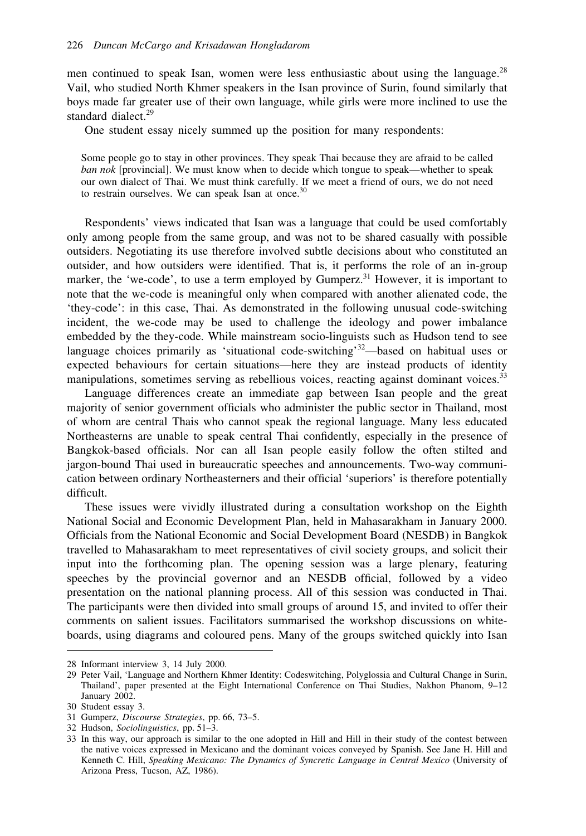men continued to speak Isan, women were less enthusiastic about using the language.<sup>28</sup> Vail, who studied North Khmer speakers in the Isan province of Surin, found similarly that boys made far greater use of their own language, while girls were more inclined to use the standard dialect.<sup>29</sup>

One student essay nicely summed up the position for many respondents:

Some people go to stay in other provinces. They speak Thai because they are afraid to be called *ban nok* [provincial]. We must know when to decide which tongue to speak—whether to speak our own dialect of Thai. We must think carefully. If we meet a friend of ours, we do not need to restrain ourselves. We can speak Isan at once. $30$ 

Respondents' views indicated that Isan was a language that could be used comfortably only among people from the same group, and was not to be shared casually with possible outsiders. Negotiating its use therefore involved subtle decisions about who constituted an outsider, and how outsiders were identified. That is, it performs the role of an in-group marker, the 'we-code', to use a term employed by Gumperz.<sup>31</sup> However, it is important to note that the we-code is meaningful only when compared with another alienated code, the 'they-code': in this case, Thai. As demonstrated in the following unusual code-switching incident, the we-code may be used to challenge the ideology and power imbalance embedded by the they-code. While mainstream socio-linguists such as Hudson tend to see language choices primarily as 'situational code-switching'<sup>32</sup>—based on habitual uses or expected behaviours for certain situations—here they are instead products of identity manipulations, sometimes serving as rebellious voices, reacting against dominant voices.<sup>33</sup>

Language differences create an immediate gap between Isan people and the great majority of senior government officials who administer the public sector in Thailand, most of whom are central Thais who cannot speak the regional language. Many less educated Northeasterns are unable to speak central Thai confidently, especially in the presence of Bangkok-based officials. Nor can all Isan people easily follow the often stilted and jargon-bound Thai used in bureaucratic speeches and announcements. Two-way communication between ordinary Northeasterners and their official 'superiors' is therefore potentially difficult.

These issues were vividly illustrated during a consultation workshop on the Eighth National Social and Economic Development Plan, held in Mahasarakham in January 2000. Officials from the National Economic and Social Development Board (NESDB) in Bangkok travelled to Mahasarakham to meet representatives of civil society groups, and solicit their input into the forthcoming plan. The opening session was a large plenary, featuring speeches by the provincial governor and an NESDB official, followed by a video presentation on the national planning process. All of this session was conducted in Thai. The participants were then divided into small groups of around 15, and invited to offer their comments on salient issues. Facilitators summarised the workshop discussions on whiteboards, using diagrams and coloured pens. Many of the groups switched quickly into Isan

<sup>28</sup> Informant interview 3, 14 July 2000.

<sup>29</sup> Peter Vail, 'Language and Northern Khmer Identity: Codeswitching, Polyglossia and Cultural Change in Surin, Thailand', paper presented at the Eight International Conference on Thai Studies, Nakhon Phanom, 9–12 January 2002.

<sup>30</sup> Student essay 3.

<sup>31</sup> Gumperz, *Discourse Strategies*, pp. 66, 73–5.

<sup>32</sup> Hudson, *Sociolinguistics*, pp. 51–3.

<sup>33</sup> In this way, our approach is similar to the one adopted in Hill and Hill in their study of the contest between the native voices expressed in Mexicano and the dominant voices conveyed by Spanish. See Jane H. Hill and Kenneth C. Hill, *Speaking Mexicano: The Dynamics of Syncretic Language in Central Mexico* (University of Arizona Press, Tucson, AZ, 1986).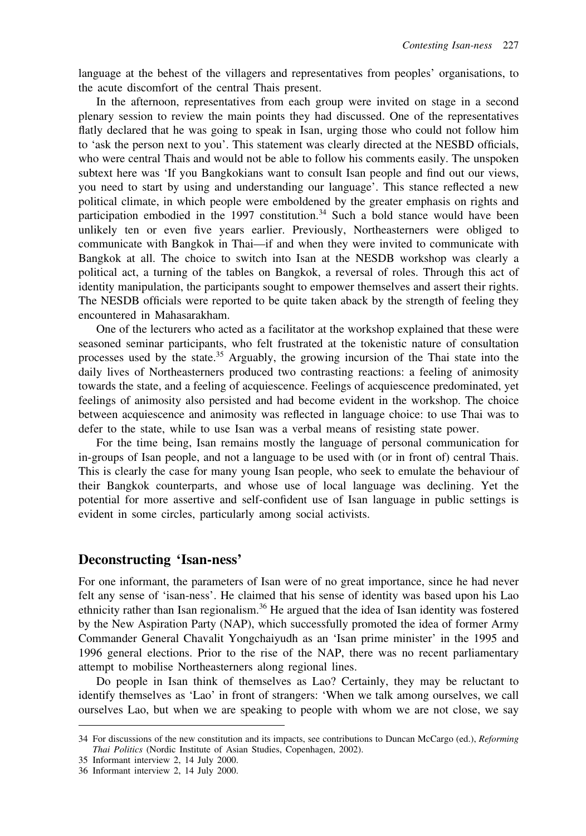language at the behest of the villagers and representatives from peoples' organisations, to the acute discomfort of the central Thais present.

In the afternoon, representatives from each group were invited on stage in a second plenary session to review the main points they had discussed. One of the representatives flatly declared that he was going to speak in Isan, urging those who could not follow him to 'ask the person next to you'. This statement was clearly directed at the NESBD officials, who were central Thais and would not be able to follow his comments easily. The unspoken subtext here was 'If you Bangkokians want to consult Isan people and find out our views, you need to start by using and understanding our language'. This stance reflected a new political climate, in which people were emboldened by the greater emphasis on rights and participation embodied in the 1997 constitution.<sup>34</sup> Such a bold stance would have been unlikely ten or even five years earlier. Previously, Northeasterners were obliged to communicate with Bangkok in Thai—if and when they were invited to communicate with Bangkok at all. The choice to switch into Isan at the NESDB workshop was clearly a political act, a turning of the tables on Bangkok, a reversal of roles. Through this act of identity manipulation, the participants sought to empower themselves and assert their rights. The NESDB officials were reported to be quite taken aback by the strength of feeling they encountered in Mahasarakham.

One of the lecturers who acted as a facilitator at the workshop explained that these were seasoned seminar participants, who felt frustrated at the tokenistic nature of consultation processes used by the state.<sup>35</sup> Arguably, the growing incursion of the Thai state into the daily lives of Northeasterners produced two contrasting reactions: a feeling of animosity towards the state, and a feeling of acquiescence. Feelings of acquiescence predominated, yet feelings of animosity also persisted and had become evident in the workshop. The choice between acquiescence and animosity was reflected in language choice: to use Thai was to defer to the state, while to use Isan was a verbal means of resisting state power.

For the time being, Isan remains mostly the language of personal communication for in-groups of Isan people, and not a language to be used with (or in front of) central Thais. This is clearly the case for many young Isan people, who seek to emulate the behaviour of their Bangkok counterparts, and whose use of local language was declining. Yet the potential for more assertive and self-confident use of Isan language in public settings is evident in some circles, particularly among social activists.

#### **Deconstructing 'Isan-ness'**

For one informant, the parameters of Isan were of no great importance, since he had never felt any sense of 'isan-ness'. He claimed that his sense of identity was based upon his Lao ethnicity rather than Isan regionalism.<sup>36</sup> He argued that the idea of Isan identity was fostered by the New Aspiration Party (NAP), which successfully promoted the idea of former Army Commander General Chavalit Yongchaiyudh as an 'Isan prime minister' in the 1995 and 1996 general elections. Prior to the rise of the NAP, there was no recent parliamentary attempt to mobilise Northeasterners along regional lines.

Do people in Isan think of themselves as Lao? Certainly, they may be reluctant to identify themselves as 'Lao' in front of strangers: 'When we talk among ourselves, we call ourselves Lao, but when we are speaking to people with whom we are not close, we say

<sup>34</sup> For discussions of the new constitution and its impacts, see contributions to Duncan McCargo (ed.), *Reforming Thai Politics* (Nordic Institute of Asian Studies, Copenhagen, 2002).

<sup>35</sup> Informant interview 2, 14 July 2000.

<sup>36</sup> Informant interview 2, 14 July 2000.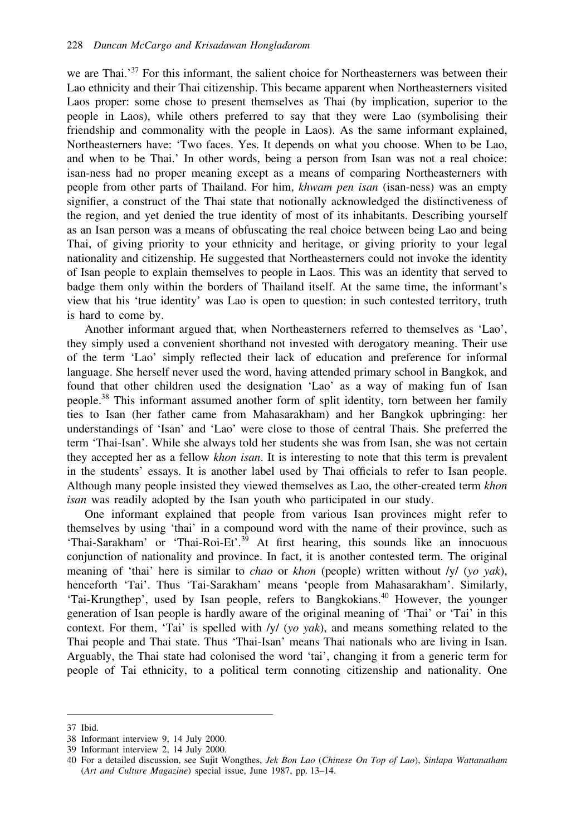we are Thai.'<sup>37</sup> For this informant, the salient choice for Northeasterners was between their Lao ethnicity and their Thai citizenship. This became apparent when Northeasterners visited Laos proper: some chose to present themselves as Thai (by implication, superior to the people in Laos), while others preferred to say that they were Lao (symbolising their friendship and commonality with the people in Laos). As the same informant explained, Northeasterners have: 'Two faces. Yes. It depends on what you choose. When to be Lao, and when to be Thai.' In other words, being a person from Isan was not a real choice: isan-ness had no proper meaning except as a means of comparing Northeasterners with people from other parts of Thailand. For him, *khwam pen isan* (isan-ness) was an empty signifier, a construct of the Thai state that notionally acknowledged the distinctiveness of the region, and yet denied the true identity of most of its inhabitants. Describing yourself as an Isan person was a means of obfuscating the real choice between being Lao and being Thai, of giving priority to your ethnicity and heritage, or giving priority to your legal nationality and citizenship. He suggested that Northeasterners could not invoke the identity of Isan people to explain themselves to people in Laos. This was an identity that served to badge them only within the borders of Thailand itself. At the same time, the informant's view that his 'true identity' was Lao is open to question: in such contested territory, truth is hard to come by.

Another informant argued that, when Northeasterners referred to themselves as 'Lao', they simply used a convenient shorthand not invested with derogatory meaning. Their use of the term 'Lao' simply reflected their lack of education and preference for informal language. She herself never used the word, having attended primary school in Bangkok, and found that other children used the designation 'Lao' as a way of making fun of Isan people.<sup>38</sup> This informant assumed another form of split identity, torn between her family ties to Isan (her father came from Mahasarakham) and her Bangkok upbringing: her understandings of 'Isan' and 'Lao' were close to those of central Thais. She preferred the term 'Thai-Isan'. While she always told her students she was from Isan, she was not certain they accepted her as a fellow *khon isan*. It is interesting to note that this term is prevalent in the students' essays. It is another label used by Thai officials to refer to Isan people. Although many people insisted they viewed themselves as Lao, the other-created term *khon isan* was readily adopted by the Isan youth who participated in our study.

One informant explained that people from various Isan provinces might refer to themselves by using 'thai' in a compound word with the name of their province, such as 'Thai-Sarakham' or 'Thai-Roi-Et'.<sup>39</sup> At first hearing, this sounds like an innocuous conjunction of nationality and province. In fact, it is another contested term. The original meaning of 'thai' here is similar to *chao* or *khon* (people) written without /y/ (*yo yak*), henceforth 'Tai'. Thus 'Tai-Sarakham' means 'people from Mahasarakham'. Similarly, 'Tai-Krungthep', used by Isan people, refers to Bangkokians.<sup>40</sup> However, the younger generation of Isan people is hardly aware of the original meaning of 'Thai' or 'Tai' in this context. For them, 'Tai' is spelled with /y/ (*yo yak*), and means something related to the Thai people and Thai state. Thus 'Thai-Isan' means Thai nationals who are living in Isan. Arguably, the Thai state had colonised the word 'tai', changing it from a generic term for people of Tai ethnicity, to a political term connoting citizenship and nationality. One

<sup>37</sup> Ibid.

<sup>38</sup> Informant interview 9, 14 July 2000.

<sup>39</sup> Informant interview 2, 14 July 2000.

<sup>40</sup> For a detailed discussion, see Sujit Wongthes, *Jek Bon Lao* (*Chinese On Top of Lao*), *Sinlapa Wattanatham* (*Art and Culture Magazine*) special issue, June 1987, pp. 13–14.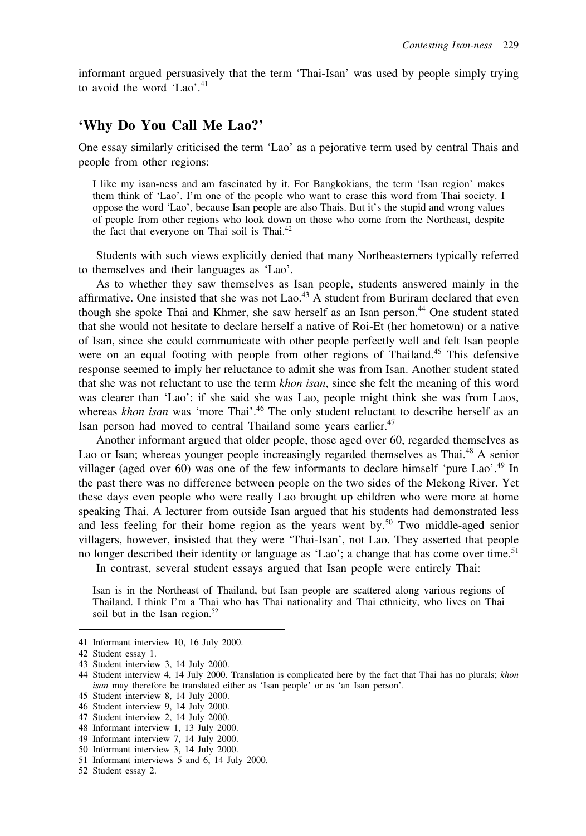informant argued persuasively that the term 'Thai-Isan' was used by people simply trying to avoid the word 'Lao'.<sup>41</sup>

### **'Why Do You Call Me Lao?'**

One essay similarly criticised the term 'Lao' as a pejorative term used by central Thais and people from other regions:

I like my isan-ness and am fascinated by it. For Bangkokians, the term 'Isan region' makes them think of 'Lao'. I'm one of the people who want to erase this word from Thai society. I oppose the word 'Lao', because Isan people are also Thais. But it's the stupid and wrong values of people from other regions who look down on those who come from the Northeast, despite the fact that everyone on Thai soil is Thai.<sup>42</sup>

Students with such views explicitly denied that many Northeasterners typically referred to themselves and their languages as 'Lao'.

As to whether they saw themselves as Isan people, students answered mainly in the affirmative. One insisted that she was not Lao.<sup>43</sup> A student from Buriram declared that even though she spoke Thai and Khmer, she saw herself as an Isan person.<sup>44</sup> One student stated that she would not hesitate to declare herself a native of Roi-Et (her hometown) or a native of Isan, since she could communicate with other people perfectly well and felt Isan people were on an equal footing with people from other regions of Thailand.<sup>45</sup> This defensive response seemed to imply her reluctance to admit she was from Isan. Another student stated that she was not reluctant to use the term *khon isan*, since she felt the meaning of this word was clearer than 'Lao': if she said she was Lao, people might think she was from Laos, whereas *khon isan* was 'more Thai'.<sup>46</sup> The only student reluctant to describe herself as an Isan person had moved to central Thailand some years earlier.<sup>47</sup>

Another informant argued that older people, those aged over 60, regarded themselves as Lao or Isan; whereas younger people increasingly regarded themselves as Thai.<sup>48</sup> A senior villager (aged over 60) was one of the few informants to declare himself 'pure Lao'.<sup>49</sup> In the past there was no difference between people on the two sides of the Mekong River. Yet these days even people who were really Lao brought up children who were more at home speaking Thai. A lecturer from outside Isan argued that his students had demonstrated less and less feeling for their home region as the years went by.<sup>50</sup> Two middle-aged senior villagers, however, insisted that they were 'Thai-Isan', not Lao. They asserted that people no longer described their identity or language as 'Lao'; a change that has come over time.<sup>51</sup>

In contrast, several student essays argued that Isan people were entirely Thai:

Isan is in the Northeast of Thailand, but Isan people are scattered along various regions of Thailand. I think I'm a Thai who has Thai nationality and Thai ethnicity, who lives on Thai soil but in the Isan region.<sup>52</sup>

45 Student interview 8, 14 July 2000.

47 Student interview 2, 14 July 2000.

- 49 Informant interview 7, 14 July 2000.
- 50 Informant interview 3, 14 July 2000.
- 51 Informant interviews 5 and 6, 14 July 2000.
- 52 Student essay 2.

<sup>41</sup> Informant interview 10, 16 July 2000.

<sup>42</sup> Student essay 1.

<sup>43</sup> Student interview 3, 14 July 2000.

<sup>44</sup> Student interview 4, 14 July 2000. Translation is complicated here by the fact that Thai has no plurals; *khon isan* may therefore be translated either as 'Isan people' or as 'an Isan person'.

<sup>46</sup> Student interview 9, 14 July 2000.

<sup>48</sup> Informant interview 1, 13 July 2000.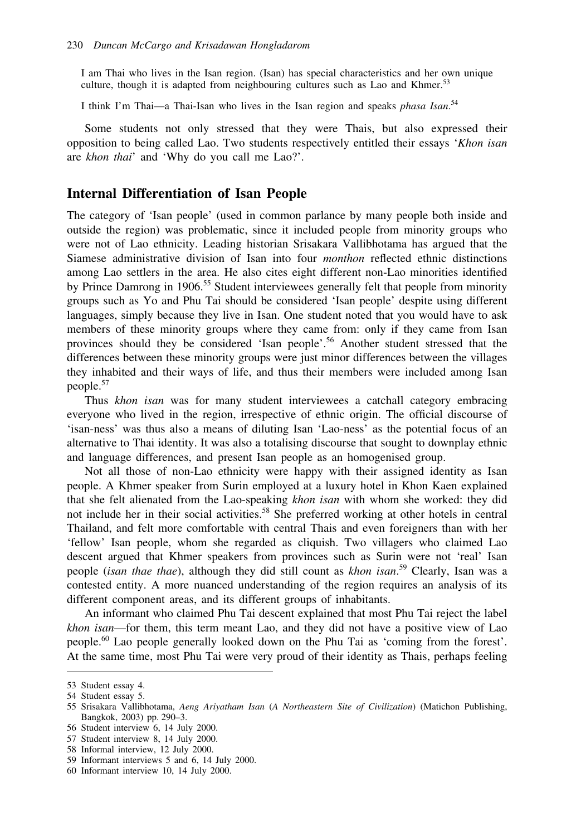I am Thai who lives in the Isan region. (Isan) has special characteristics and her own unique culture, though it is adapted from neighbouring cultures such as Lao and Khmer.<sup>53</sup>

I think I'm Thai—a Thai-Isan who lives in the Isan region and speaks *phasa Isan*. 54

Some students not only stressed that they were Thais, but also expressed their opposition to being called Lao. Two students respectively entitled their essays '*Khon isan* are *khon thai*' and 'Why do you call me Lao?'.

#### **Internal Differentiation of Isan People**

The category of 'Isan people' (used in common parlance by many people both inside and outside the region) was problematic, since it included people from minority groups who were not of Lao ethnicity. Leading historian Srisakara Vallibhotama has argued that the Siamese administrative division of Isan into four *monthon* reflected ethnic distinctions among Lao settlers in the area. He also cites eight different non-Lao minorities identified by Prince Damrong in 1906.<sup>55</sup> Student interviewees generally felt that people from minority groups such as Yo and Phu Tai should be considered 'Isan people' despite using different languages, simply because they live in Isan. One student noted that you would have to ask members of these minority groups where they came from: only if they came from Isan provinces should they be considered 'Isan people'.<sup>56</sup> Another student stressed that the differences between these minority groups were just minor differences between the villages they inhabited and their ways of life, and thus their members were included among Isan people.57

Thus *khon isan* was for many student interviewees a catchall category embracing everyone who lived in the region, irrespective of ethnic origin. The official discourse of 'isan-ness' was thus also a means of diluting Isan 'Lao-ness' as the potential focus of an alternative to Thai identity. It was also a totalising discourse that sought to downplay ethnic and language differences, and present Isan people as an homogenised group.

Not all those of non-Lao ethnicity were happy with their assigned identity as Isan people. A Khmer speaker from Surin employed at a luxury hotel in Khon Kaen explained that she felt alienated from the Lao-speaking *khon isan* with whom she worked: they did not include her in their social activities.<sup>58</sup> She preferred working at other hotels in central Thailand, and felt more comfortable with central Thais and even foreigners than with her 'fellow' Isan people, whom she regarded as cliquish. Two villagers who claimed Lao descent argued that Khmer speakers from provinces such as Surin were not 'real' Isan people (*isan thae thae*), although they did still count as *khon isan*. <sup>59</sup> Clearly, Isan was a contested entity. A more nuanced understanding of the region requires an analysis of its different component areas, and its different groups of inhabitants.

An informant who claimed Phu Tai descent explained that most Phu Tai reject the label *khon isan*—for them, this term meant Lao, and they did not have a positive view of Lao people.60 Lao people generally looked down on the Phu Tai as 'coming from the forest'. At the same time, most Phu Tai were very proud of their identity as Thais, perhaps feeling

<sup>53</sup> Student essay 4.

<sup>54</sup> Student essay 5.

<sup>55</sup> Srisakara Vallibhotama, *Aeng Ariyatham Isan* (*A Northeastern Site of Civilization*) (Matichon Publishing, Bangkok, 2003) pp. 290–3.

<sup>56</sup> Student interview 6, 14 July 2000.

<sup>57</sup> Student interview 8, 14 July 2000.

<sup>58</sup> Informal interview, 12 July 2000.

<sup>59</sup> Informant interviews 5 and 6, 14 July 2000.

<sup>60</sup> Informant interview 10, 14 July 2000.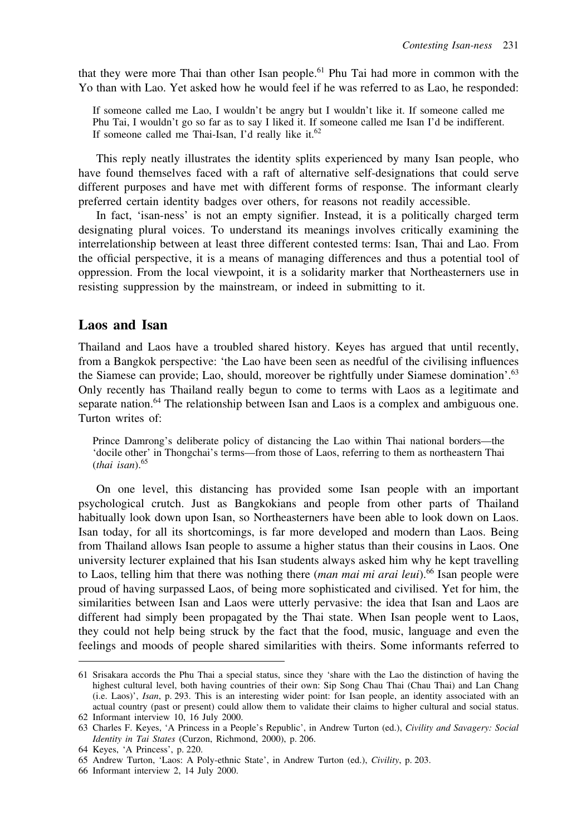that they were more Thai than other Isan people.<sup>61</sup> Phu Tai had more in common with the Yo than with Lao. Yet asked how he would feel if he was referred to as Lao, he responded:

If someone called me Lao, I wouldn't be angry but I wouldn't like it. If someone called me Phu Tai, I wouldn't go so far as to say I liked it. If someone called me Isan I'd be indifferent. If someone called me Thai-Isan, I'd really like it.62

This reply neatly illustrates the identity splits experienced by many Isan people, who have found themselves faced with a raft of alternative self-designations that could serve different purposes and have met with different forms of response. The informant clearly preferred certain identity badges over others, for reasons not readily accessible.

In fact, 'isan-ness' is not an empty signifier. Instead, it is a politically charged term designating plural voices. To understand its meanings involves critically examining the interrelationship between at least three different contested terms: Isan, Thai and Lao. From the official perspective, it is a means of managing differences and thus a potential tool of oppression. From the local viewpoint, it is a solidarity marker that Northeasterners use in resisting suppression by the mainstream, or indeed in submitting to it.

#### **Laos and Isan**

Thailand and Laos have a troubled shared history. Keyes has argued that until recently, from a Bangkok perspective: 'the Lao have been seen as needful of the civilising influences the Siamese can provide; Lao, should, moreover be rightfully under Siamese domination'.<sup>63</sup> Only recently has Thailand really begun to come to terms with Laos as a legitimate and separate nation.<sup>64</sup> The relationship between Isan and Laos is a complex and ambiguous one. Turton writes of:

Prince Damrong's deliberate policy of distancing the Lao within Thai national borders—the 'docile other' in Thongchai's terms—from those of Laos, referring to them as northeastern Thai  $(thai\ isan).$ <sup>65</sup>

On one level, this distancing has provided some Isan people with an important psychological crutch. Just as Bangkokians and people from other parts of Thailand habitually look down upon Isan, so Northeasterners have been able to look down on Laos. Isan today, for all its shortcomings, is far more developed and modern than Laos. Being from Thailand allows Isan people to assume a higher status than their cousins in Laos. One university lecturer explained that his Isan students always asked him why he kept travelling to Laos, telling him that there was nothing there (*man mai mi arai leui*).<sup>66</sup> Isan people were proud of having surpassed Laos, of being more sophisticated and civilised. Yet for him, the similarities between Isan and Laos were utterly pervasive: the idea that Isan and Laos are different had simply been propagated by the Thai state. When Isan people went to Laos, they could not help being struck by the fact that the food, music, language and even the feelings and moods of people shared similarities with theirs. Some informants referred to

66 Informant interview 2, 14 July 2000.

<sup>61</sup> Srisakara accords the Phu Thai a special status, since they 'share with the Lao the distinction of having the highest cultural level, both having countries of their own: Sip Song Chau Thai (Chau Thai) and Lan Chang (i.e. Laos)', *Isan*, p. 293. This is an interesting wider point: for Isan people, an identity associated with an actual country (past or present) could allow them to validate their claims to higher cultural and social status. 62 Informant interview 10, 16 July 2000.

<sup>63</sup> Charles F. Keyes, 'A Princess in a People's Republic', in Andrew Turton (ed.), *Civility and Savagery: Social Identity in Tai States* (Curzon, Richmond, 2000), p. 206.

<sup>64</sup> Keyes, 'A Princess', p. 220.

<sup>65</sup> Andrew Turton, 'Laos: A Poly-ethnic State', in Andrew Turton (ed.), *Civility*, p. 203.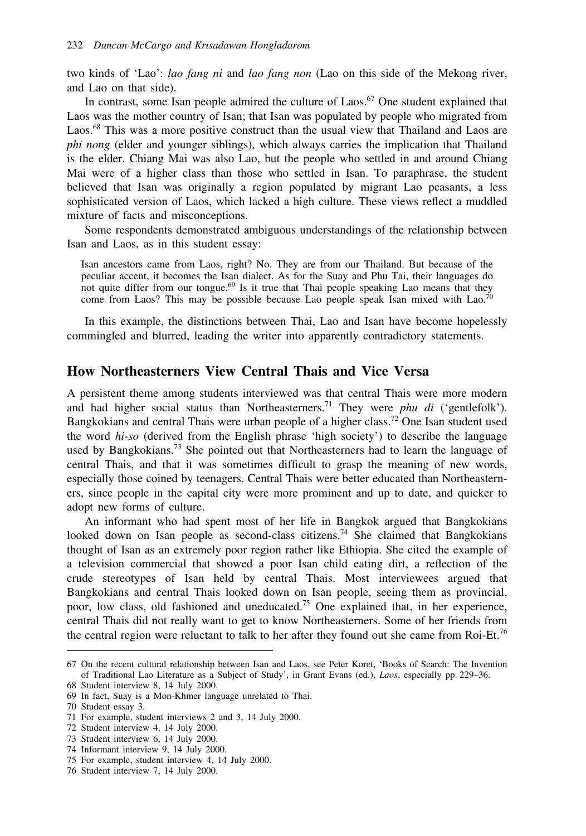two kinds of 'Lao': *lao fang ni* and *lao fang non* (Lao on this side of the Mekong river, and Lao on that side).

In contrast, some Isan people admired the culture of Laos.<sup>67</sup> One student explained that Laos was the mother country of Isan; that Isan was populated by people who migrated from Laos.<sup>68</sup> This was a more positive construct than the usual view that Thailand and Laos are *phi nong* (elder and younger siblings), which always carries the implication that Thailand is the elder. Chiang Mai was also Lao, but the people who settled in and around Chiang Mai were of a higher class than those who settled in Isan. To paraphrase, the student believed that Isan was originally a region populated by migrant Lao peasants, a less sophisticated version of Laos, which lacked a high culture. These views reflect a muddled mixture of facts and misconceptions.

Some respondents demonstrated ambiguous understandings of the relationship between Isan and Laos, as in this student essay:

Isan ancestors came from Laos, right? No. They are from our Thailand. But because of the peculiar accent, it becomes the Isan dialect. As for the Suay and Phu Tai, their languages do not quite differ from our tongue.<sup>69</sup> Is it true that Thai people speaking Lao means that they come from Laos? This may be possible because Lao people speak Isan mixed with Lao.<sup>70</sup>

In this example, the distinctions between Thai, Lao and Isan have become hopelessly commingled and blurred, leading the writer into apparently contradictory statements.

#### **How Northeasterners View Central Thais and Vice Versa**

A persistent theme among students interviewed was that central Thais were more modern and had higher social status than Northeasterners.<sup>71</sup> They were *phu di* ('gentlefolk'). Bangkokians and central Thais were urban people of a higher class.<sup>72</sup> One Isan student used the word *hi-so* (derived from the English phrase 'high society') to describe the language used by Bangkokians.<sup>73</sup> She pointed out that Northeasterners had to learn the language of central Thais, and that it was sometimes difficult to grasp the meaning of new words, especially those coined by teenagers. Central Thais were better educated than Northeasterners, since people in the capital city were more prominent and up to date, and quicker to adopt new forms of culture.

An informant who had spent most of her life in Bangkok argued that Bangkokians looked down on Isan people as second-class citizens.<sup>74</sup> She claimed that Bangkokians thought of Isan as an extremely poor region rather like Ethiopia. She cited the example of a television commercial that showed a poor Isan child eating dirt, a reflection of the crude stereotypes of Isan held by central Thais. Most interviewees argued that Bangkokians and central Thais looked down on Isan people, seeing them as provincial, poor, low class, old fashioned and uneducated.75 One explained that, in her experience, central Thais did not really want to get to know Northeasterners. Some of her friends from the central region were reluctant to talk to her after they found out she came from Roi-Et.<sup>76</sup>

<sup>67</sup> On the recent cultural relationship between Isan and Laos, see Peter Koret, 'Books of Search: The Invention of Traditional Lao Literature as a Subject of Study', in Grant Evans (ed.), *Laos*, especially pp. 229–36.

<sup>68</sup> Student interview 8, 14 July 2000.

<sup>69</sup> In fact, Suay is a Mon-Khmer language unrelated to Thai.

<sup>70</sup> Student essay 3.

<sup>71</sup> For example, student interviews 2 and 3, 14 July 2000.

<sup>72</sup> Student interview 4, 14 July 2000.

<sup>73</sup> Student interview 6, 14 July 2000.

<sup>74</sup> Informant interview 9, 14 July 2000.

<sup>75</sup> For example, student interview 4, 14 July 2000.

<sup>76</sup> Student interview 7, 14 July 2000.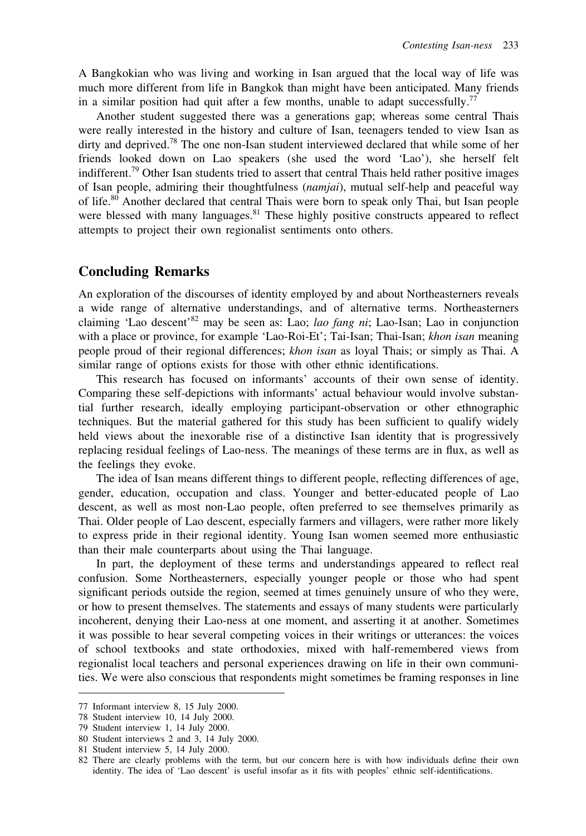A Bangkokian who was living and working in Isan argued that the local way of life was much more different from life in Bangkok than might have been anticipated. Many friends in a similar position had quit after a few months, unable to adapt successfully.<sup>77</sup>

Another student suggested there was a generations gap; whereas some central Thais were really interested in the history and culture of Isan, teenagers tended to view Isan as dirty and deprived.<sup>78</sup> The one non-Isan student interviewed declared that while some of her friends looked down on Lao speakers (she used the word 'Lao'), she herself felt indifferent.<sup>79</sup> Other Isan students tried to assert that central Thais held rather positive images of Isan people, admiring their thoughtfulness (*namjai*), mutual self-help and peaceful way of life.80 Another declared that central Thais were born to speak only Thai, but Isan people were blessed with many languages.<sup>81</sup> These highly positive constructs appeared to reflect attempts to project their own regionalist sentiments onto others.

#### **Concluding Remarks**

An exploration of the discourses of identity employed by and about Northeasterners reveals a wide range of alternative understandings, and of alternative terms. Northeasterners claiming 'Lao descent'<sup>82</sup> may be seen as: Lao; *lao fang ni*; Lao-Isan; Lao in conjunction with a place or province, for example 'Lao-Roi-Et'; Tai-Isan; Thai-Isan; *khon isan* meaning people proud of their regional differences; *khon isan* as loyal Thais; or simply as Thai. A similar range of options exists for those with other ethnic identifications.

This research has focused on informants' accounts of their own sense of identity. Comparing these self-depictions with informants' actual behaviour would involve substantial further research, ideally employing participant-observation or other ethnographic techniques. But the material gathered for this study has been sufficient to qualify widely held views about the inexorable rise of a distinctive Isan identity that is progressively replacing residual feelings of Lao-ness. The meanings of these terms are in flux, as well as the feelings they evoke.

The idea of Isan means different things to different people, reflecting differences of age, gender, education, occupation and class. Younger and better-educated people of Lao descent, as well as most non-Lao people, often preferred to see themselves primarily as Thai. Older people of Lao descent, especially farmers and villagers, were rather more likely to express pride in their regional identity. Young Isan women seemed more enthusiastic than their male counterparts about using the Thai language.

In part, the deployment of these terms and understandings appeared to reflect real confusion. Some Northeasterners, especially younger people or those who had spent significant periods outside the region, seemed at times genuinely unsure of who they were, or how to present themselves. The statements and essays of many students were particularly incoherent, denying their Lao-ness at one moment, and asserting it at another. Sometimes it was possible to hear several competing voices in their writings or utterances: the voices of school textbooks and state orthodoxies, mixed with half-remembered views from regionalist local teachers and personal experiences drawing on life in their own communities. We were also conscious that respondents might sometimes be framing responses in line

<sup>77</sup> Informant interview 8, 15 July 2000.

<sup>78</sup> Student interview 10, 14 July 2000.

<sup>79</sup> Student interview 1, 14 July 2000.

<sup>80</sup> Student interviews 2 and 3, 14 July 2000.

<sup>81</sup> Student interview 5, 14 July 2000.

<sup>82</sup> There are clearly problems with the term, but our concern here is with how individuals define their own identity. The idea of 'Lao descent' is useful insofar as it fits with peoples' ethnic self-identifications.